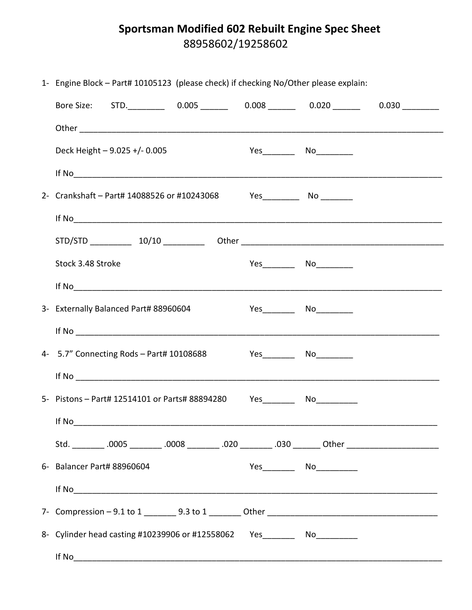## Sportsman Modified 602 Rebuilt Engine Spec Sheet 88958602/19258602

| 1- Engine Block – Part# 10105123 (please check) if checking No/Other please explain:                 |  |  |                              |  |
|------------------------------------------------------------------------------------------------------|--|--|------------------------------|--|
| Bore Size: STD. __________ 0.005 _______ 0.008 _______ 0.020 _______ 0.030 _________                 |  |  |                              |  |
|                                                                                                      |  |  |                              |  |
| Deck Height $-9.025 + (-0.005)$                                                                      |  |  | Yes___________ No___________ |  |
|                                                                                                      |  |  |                              |  |
| 2- Crankshaft – Part# 14088526 or #10243068 Yes __________ No ________                               |  |  |                              |  |
|                                                                                                      |  |  |                              |  |
|                                                                                                      |  |  |                              |  |
| Stock 3.48 Stroke                                                                                    |  |  |                              |  |
|                                                                                                      |  |  |                              |  |
| 3- Externally Balanced Part# 88960604                                                                |  |  | Yes__________ No___________  |  |
|                                                                                                      |  |  |                              |  |
| 4- 5.7" Connecting Rods - Part# 10108688 Yes ________ No _________                                   |  |  |                              |  |
|                                                                                                      |  |  |                              |  |
| 5- Pistons – Part# 12514101 or Parts# 88894280 Yes _________ No __________                           |  |  |                              |  |
| If No                                                                                                |  |  |                              |  |
| Std. __________.0005 __________.0008 _________.020 _________.030 ________ Other ____________________ |  |  |                              |  |
| 6- Balancer Part# 88960604                                                                           |  |  |                              |  |
| If $\text{No}$                                                                                       |  |  |                              |  |
|                                                                                                      |  |  |                              |  |
| 8- Cylinder head casting #10239906 or #12558062 Yes _________ No___________                          |  |  |                              |  |
| If No                                                                                                |  |  |                              |  |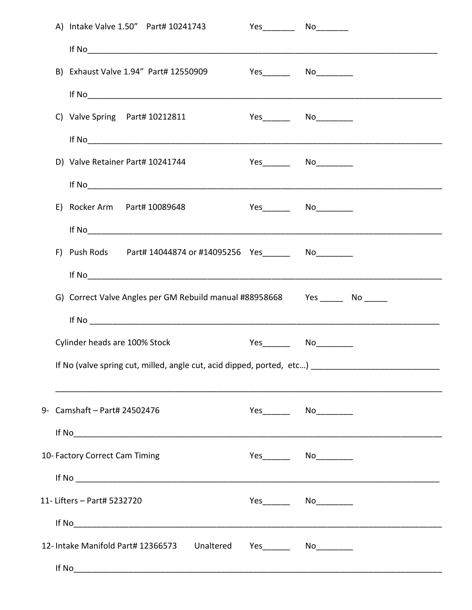|                                                                              | A) Intake Valve 1.50" Part# 10241743                                           | $Yes$ No                      |  |  |  |
|------------------------------------------------------------------------------|--------------------------------------------------------------------------------|-------------------------------|--|--|--|
|                                                                              | If No $\overline{\phantom{a}}$                                                 |                               |  |  |  |
|                                                                              | B) Exhaust Valve 1.94" Part# 12550909 Yes _______ No ________                  |                               |  |  |  |
|                                                                              | If No $\overline{\phantom{a}}$                                                 |                               |  |  |  |
|                                                                              | C) Valve Spring Part# 10212811                                                 | Yes_________  No____________  |  |  |  |
|                                                                              |                                                                                |                               |  |  |  |
|                                                                              | D) Valve Retainer Part# 10241744                                               |                               |  |  |  |
|                                                                              |                                                                                |                               |  |  |  |
|                                                                              | E) Rocker Arm Part# 10089648                                                   | Yes_________  No____________  |  |  |  |
|                                                                              |                                                                                |                               |  |  |  |
|                                                                              | F) Push Rods Part# 14044874 or #14095256 Yes ________ No_________              |                               |  |  |  |
|                                                                              |                                                                                |                               |  |  |  |
|                                                                              | G) Correct Valve Angles per GM Rebuild manual #88958668 Yes ______ No ______   |                               |  |  |  |
|                                                                              |                                                                                |                               |  |  |  |
|                                                                              | Cylinder heads are 100% Stock                                                  | Yes_________  No___________   |  |  |  |
|                                                                              | If No (valve spring cut, milled, angle cut, acid dipped, ported, etc) ________ |                               |  |  |  |
|                                                                              |                                                                                |                               |  |  |  |
|                                                                              | 9- Camshaft - Part# 24502476                                                   | Yes_________  No___________   |  |  |  |
|                                                                              | If $\text{No}$                                                                 |                               |  |  |  |
|                                                                              | 10- Factory Correct Cam Timing                                                 | Yes__________  No____________ |  |  |  |
|                                                                              | If No $\overline{\phantom{a}}$                                                 |                               |  |  |  |
|                                                                              | 11- Lifters - Part# 5232720                                                    | Yes_________  No____________  |  |  |  |
|                                                                              | If No $\overline{\phantom{a}}$                                                 |                               |  |  |  |
| 12- Intake Manifold Part# 12366573 Unaltered<br>Yes_________  No____________ |                                                                                |                               |  |  |  |
| If No                                                                        |                                                                                |                               |  |  |  |